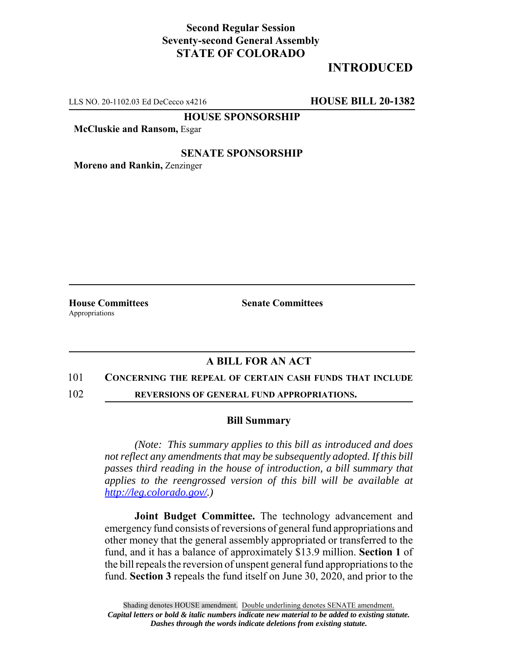## **Second Regular Session Seventy-second General Assembly STATE OF COLORADO**

# **INTRODUCED**

LLS NO. 20-1102.03 Ed DeCecco x4216 **HOUSE BILL 20-1382**

**HOUSE SPONSORSHIP**

**McCluskie and Ransom,** Esgar

### **SENATE SPONSORSHIP**

**Moreno and Rankin,** Zenzinger

Appropriations

**House Committees Senate Committees** 

### **A BILL FOR AN ACT**

#### 101 **CONCERNING THE REPEAL OF CERTAIN CASH FUNDS THAT INCLUDE**

102 **REVERSIONS OF GENERAL FUND APPROPRIATIONS.**

#### **Bill Summary**

*(Note: This summary applies to this bill as introduced and does not reflect any amendments that may be subsequently adopted. If this bill passes third reading in the house of introduction, a bill summary that applies to the reengrossed version of this bill will be available at http://leg.colorado.gov/.)*

**Joint Budget Committee.** The technology advancement and emergency fund consists of reversions of general fund appropriations and other money that the general assembly appropriated or transferred to the fund, and it has a balance of approximately \$13.9 million. **Section 1** of the bill repeals the reversion of unspent general fund appropriations to the fund. **Section 3** repeals the fund itself on June 30, 2020, and prior to the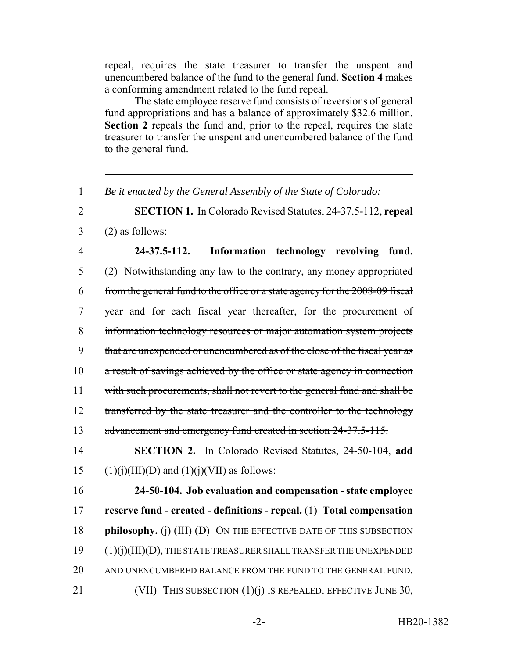repeal, requires the state treasurer to transfer the unspent and unencumbered balance of the fund to the general fund. **Section 4** makes a conforming amendment related to the fund repeal.

The state employee reserve fund consists of reversions of general fund appropriations and has a balance of approximately \$32.6 million. **Section 2** repeals the fund and, prior to the repeal, requires the state treasurer to transfer the unspent and unencumbered balance of the fund to the general fund.

1 *Be it enacted by the General Assembly of the State of Colorado:*

2 **SECTION 1.** In Colorado Revised Statutes, 24-37.5-112, **repeal**

 $3 \qquad (2)$  as follows:

 **24-37.5-112. Information technology revolving fund.** (2) Notwithstanding any law to the contrary, any money appropriated from the general fund to the office or a state agency for the 2008-09 fiscal year and for each fiscal year thereafter, for the procurement of information technology resources or major automation system projects that are unexpended or unencumbered as of the close of the fiscal year as 10 a result of savings achieved by the office or state agency in connection with such procurements, shall not revert to the general fund and shall be 12 transferred by the state treasurer and the controller to the technology 13 advancement and emergency fund created in section 24-37.5-115.

14 **SECTION 2.** In Colorado Revised Statutes, 24-50-104, **add** 15 (1)(j)(III)(D) and (1)(j)(VII) as follows:

 **24-50-104. Job evaluation and compensation - state employee reserve fund - created - definitions - repeal.** (1) **Total compensation philosophy.** (j) (III) (D) ON THE EFFECTIVE DATE OF THIS SUBSECTION (1)(j)(III)(D), THE STATE TREASURER SHALL TRANSFER THE UNEXPENDED 20 AND UNENCUMBERED BALANCE FROM THE FUND TO THE GENERAL FUND. 21 (VII) THIS SUBSECTION  $(1)(j)$  is repealed, effective June 30,